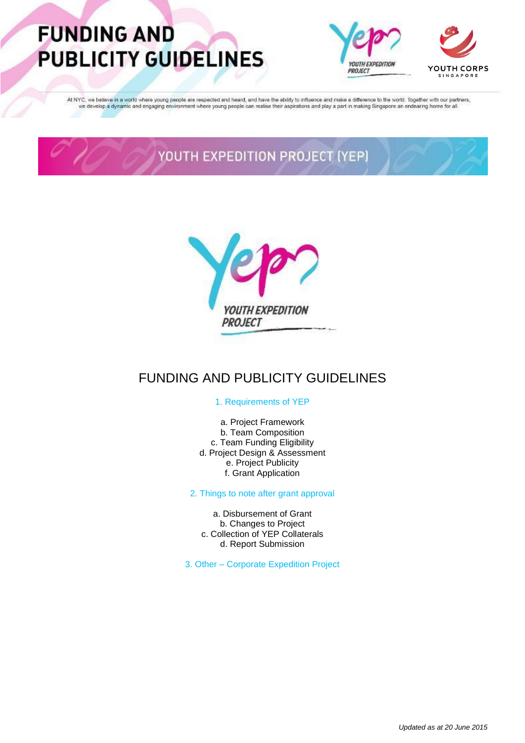

At NYC, we believe in a world where young people are respected and heard, and have the ability to influence and make a difference to the world. Together with our partners, we develop a dynamic and engaging environment where young people can realise their aspirations and play a part in making Singapore an endearing home for all

YOUTH EXPEDITION PROJECT (YEP)



## FUNDING AND PUBLICITY GUIDELINES

### 1. Requirements of YEP

a. Project Framework b. Team Composition c. Team Funding Eligibility d. Project Design & Assessment e. Project Publicity f. Grant Application

2. Things to note after grant approval

a. Disbursement of Grant b. Changes to Project c. Collection of YEP Collaterals d. Report Submission

3. Other – Corporate Expedition Project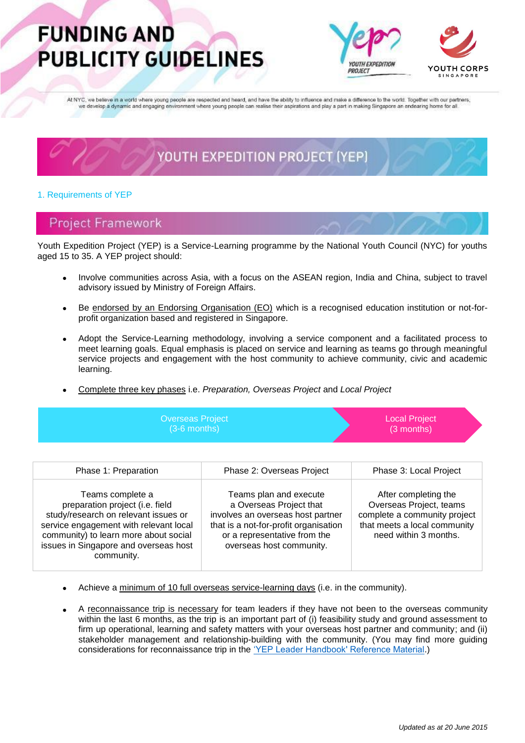

At NYC, we believe in a world where young people are respected and heard, and have the ability to influence and make a difference to the world. Together with our partners, we develop a dynamic and engaging environment where young people can realise their aspirations and play a part in making Singapore an endearing home for all

## YOUTH EXPEDITION PROJECT (YEP)

### 1. Requirements of YEP

### **Project Framework**

Youth Expedition Project (YEP) is a Service-Learning programme by the National Youth Council (NYC) for youths aged 15 to 35. A YEP project should:

- Involve communities across Asia, with a focus on the ASEAN region, India and China, subject to travel advisory issued by Ministry of Foreign Affairs.
- Be endorsed by an Endorsing Organisation (EO) which is a recognised education institution or not-forprofit organization based and registered in Singapore.
- Adopt the Service-Learning methodology, involving a service component and a facilitated process to meet learning goals. Equal emphasis is placed on service and learning as teams go through meaningful service projects and engagement with the host community to achieve community, civic and academic learning.
- Complete three key phases i.e. *Preparation, Overseas Project* and *Local Project*

| <b>Overseas Project</b> | Local Project |  |
|-------------------------|---------------|--|
| $(3-6$ months)          | (3 months)    |  |
|                         |               |  |

| Phase 1: Preparation                                                                                                                                                                                                                  | Phase 2: Overseas Project                                                                                                                                                                   | Phase 3: Local Project                                                                                                                   |
|---------------------------------------------------------------------------------------------------------------------------------------------------------------------------------------------------------------------------------------|---------------------------------------------------------------------------------------------------------------------------------------------------------------------------------------------|------------------------------------------------------------------------------------------------------------------------------------------|
| Teams complete a<br>preparation project (i.e. field<br>study/research on relevant issues or<br>service engagement with relevant local<br>community) to learn more about social<br>issues in Singapore and overseas host<br>community. | Teams plan and execute<br>a Overseas Project that<br>involves an overseas host partner<br>that is a not-for-profit organisation<br>or a representative from the<br>overseas host community. | After completing the<br>Overseas Project, teams<br>complete a community project<br>that meets a local community<br>need within 3 months. |

- Achieve a minimum of 10 full overseas service-learning days (i.e. in the community).
- A reconnaissance trip is necessary for team leaders if they have not been to the overseas community within the last 6 months, as the trip is an important part of (i) feasibility study and ground assessment to firm up operational, learning and safety matters with your overseas host partner and community; and (ii) stakeholder management and relationship-building with the community. (You may find more guiding considerations for reconnaissance trip in the ['YEP Leader Handbook' Reference Material.](https://www.resourceportal.nyc.sg/nycp/ShowDoc/WLP+Repository/nyc/grants_fs/YEP/LeaderHB))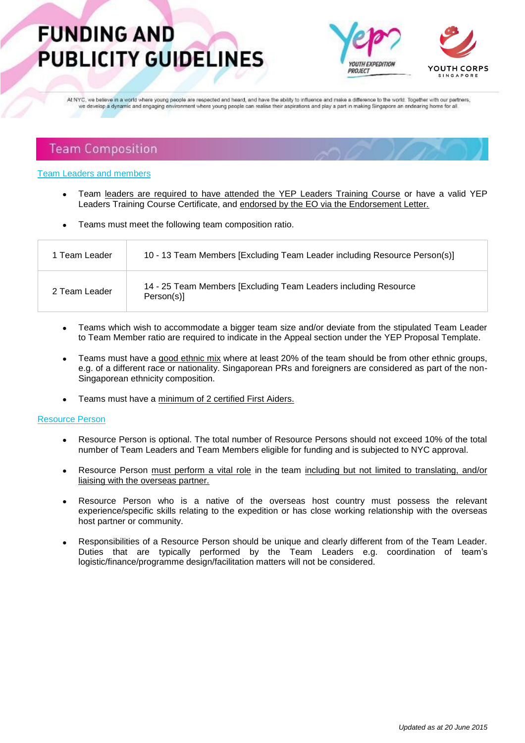

At NYC, we believe in a world where young people are respected and heard, and have the ability to influence and make a difference to the world. Together with our partners, we develop a dynamic and engaging environment where young people can realise their aspirations and play a part in making Singapore an endearing home for all

### **Team Composition**

#### Team Leaders and members

- Team leaders are required to have attended the YEP Leaders Training Course or have a valid YEP Leaders Training Course Certificate, and endorsed by the EO via the Endorsement Letter.
- Teams must meet the following team composition ratio.

| 1 Team Leader | 10 - 13 Team Members [Excluding Team Leader including Resource Person(s)]     |
|---------------|-------------------------------------------------------------------------------|
| 2 Team Leader | 14 - 25 Team Members [Excluding Team Leaders including Resource<br>Person(s)] |

- Teams which wish to accommodate a bigger team size and/or deviate from the stipulated Team Leader to Team Member ratio are required to indicate in the Appeal section under the YEP Proposal Template.
- Teams must have a good ethnic mix where at least 20% of the team should be from other ethnic groups, e.g. of a different race or nationality. Singaporean PRs and foreigners are considered as part of the non-Singaporean ethnicity composition.
- Teams must have a minimum of 2 certified First Aiders.

#### Resource Person

- Resource Person is optional. The total number of Resource Persons should not exceed 10% of the total number of Team Leaders and Team Members eligible for funding and is subjected to NYC approval.
- Resource Person must perform a vital role in the team including but not limited to translating, and/or liaising with the overseas partner.
- Resource Person who is a native of the overseas host country must possess the relevant experience/specific skills relating to the expedition or has close working relationship with the overseas host partner or community.
- Responsibilities of a Resource Person should be unique and clearly different from of the Team Leader. Duties that are typically performed by the Team Leaders e.g. coordination of team's logistic/finance/programme design/facilitation matters will not be considered.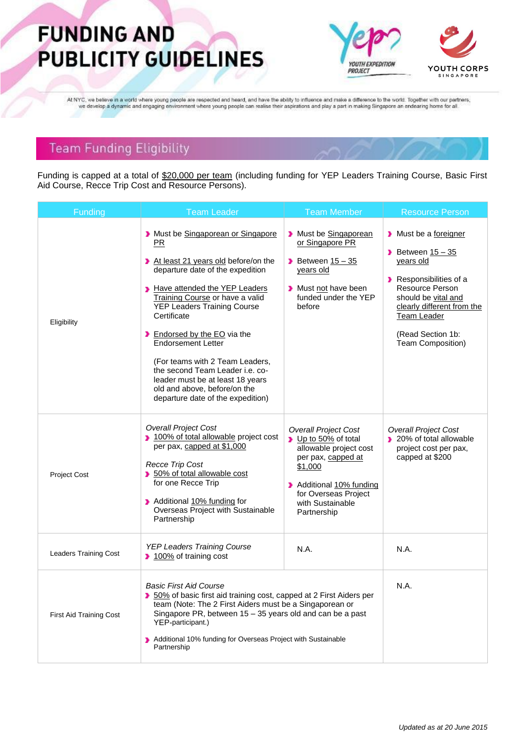

At NYC, we believe in a world where young people are respected and heard, and have the ability to influence and make a difference to the world. Together with our partners, we develop a dynamic and engaging environment where young people can realise their aspirations and play a part in making Singapore an endearing home for all

## **Team Funding Eligibility**

Funding is capped at a total of \$20,000 per team (including funding for YEP Leaders Training Course, Basic First Aid Course, Recce Trip Cost and Resource Persons).

| Funding                      | Team Leader                                                                                                                                                                                                                                                                                                                                                                                                                                                                                          | <b>Team Member</b>                                                                                                                                                                                  | <b>Resource Person</b>                                                                                                                                                                                                 |
|------------------------------|------------------------------------------------------------------------------------------------------------------------------------------------------------------------------------------------------------------------------------------------------------------------------------------------------------------------------------------------------------------------------------------------------------------------------------------------------------------------------------------------------|-----------------------------------------------------------------------------------------------------------------------------------------------------------------------------------------------------|------------------------------------------------------------------------------------------------------------------------------------------------------------------------------------------------------------------------|
| Eligibility                  | Must be Singaporean or Singapore<br><b>PR</b><br>> At least 21 years old before/on the<br>departure date of the expedition<br>Have attended the YEP Leaders<br>Training Course or have a valid<br><b>YEP Leaders Training Course</b><br>Certificate<br><b>Endorsed by the EO</b> via the<br><b>Endorsement Letter</b><br>(For teams with 2 Team Leaders,<br>the second Team Leader i.e. co-<br>leader must be at least 18 years<br>old and above, before/on the<br>departure date of the expedition) | Must be Singaporean<br>or Singapore PR<br>Between $15 - 35$<br>years old<br>Must not have been<br>funded under the YEP<br>before                                                                    | Must be a foreigner<br>Between $15 - 35$<br>years old<br>Responsibilities of a<br><b>Resource Person</b><br>should be vital and<br>clearly different from the<br>Team Leader<br>(Read Section 1b:<br>Team Composition) |
| <b>Project Cost</b>          | <b>Overall Project Cost</b><br>100% of total allowable project cost<br>per pax, capped at \$1,000<br>Recce Trip Cost<br>> 50% of total allowable cost<br>for one Recce Trip<br>> Additional 10% funding for<br>Overseas Project with Sustainable<br>Partnership                                                                                                                                                                                                                                      | <b>Overall Project Cost</b><br>Up to 50% of total<br>allowable project cost<br>per pax, capped at<br>\$1,000<br>> Additional 10% funding<br>for Overseas Project<br>with Sustainable<br>Partnership | <b>Overall Project Cost</b><br>20% of total allowable<br>project cost per pax,<br>capped at \$200                                                                                                                      |
| <b>Leaders Training Cost</b> | <b>YEP Leaders Training Course</b><br>100% of training cost                                                                                                                                                                                                                                                                                                                                                                                                                                          | N.A.                                                                                                                                                                                                | N.A.                                                                                                                                                                                                                   |
| First Aid Training Cost      | <b>Basic First Aid Course</b><br>50% of basic first aid training cost, capped at 2 First Aiders per<br>team (Note: The 2 First Aiders must be a Singaporean or<br>Singapore PR, between 15 - 35 years old and can be a past<br>YEP-participant.)<br>Additional 10% funding for Overseas Project with Sustainable<br>Partnership                                                                                                                                                                      |                                                                                                                                                                                                     | N.A.                                                                                                                                                                                                                   |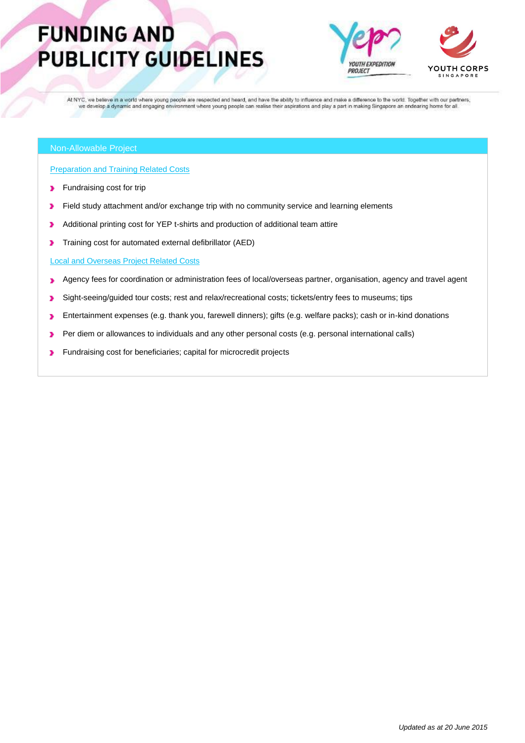

At NYC, we believe in a world where young people are respected and heard, and have the ability to influence and make a difference to the world. Together with our partners, we develop a dynamic and engaging environment where young people can realise their aspirations and play a part in making Singapore an endearing home for all

#### Non-Allowable Project

Preparation and Training Related Costs

- Fundraising cost for trip Þ
- Field study attachment and/or exchange trip with no community service and learning elements э
- Additional printing cost for YEP t-shirts and production of additional team attire э
- Training cost for automated external defibrillator (AED) э

#### Local and Overseas Project Related Costs

- Agency fees for coordination or administration fees of local/overseas partner, organisation, agency and travel agent ä
- Sight-seeing/guided tour costs; rest and relax/recreational costs; tickets/entry fees to museums; tips ъ
- Entertainment expenses (e.g. thank you, farewell dinners); gifts (e.g. welfare packs); cash or in-kind donations э
- Per diem or allowances to individuals and any other personal costs (e.g. personal international calls) э
- Fundraising cost for beneficiaries; capital for microcredit projectsэ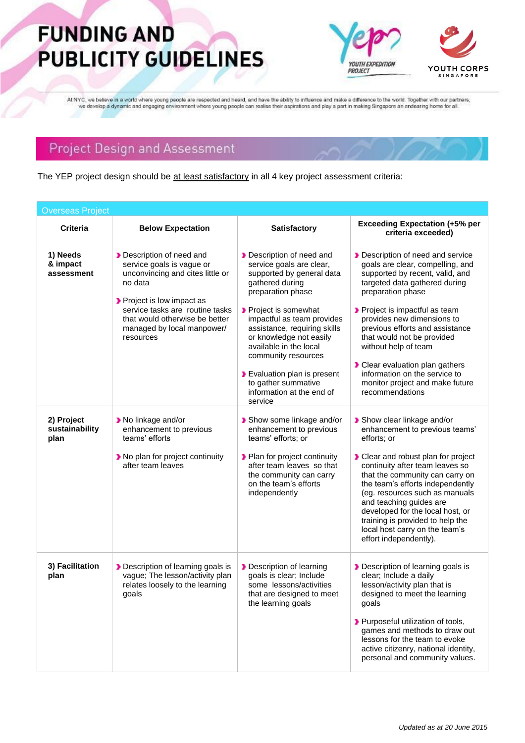

At NYC, we believe in a world where young people are respected and heard, and have the ability to influence and make a difference to the world. Together with our partners, we develop a dynamic and engaging environment where young people can realise their aspirations and play a part in making Singapore an endearing home for all

## **Project Design and Assessment**

The YEP project design should be at least satisfactory in all 4 key project assessment criteria:

| <b>Overseas Project</b>              |                                                                                                                                                                                                                                                 |                                                                                                                                                                                                                                                                                                                                                                                          |                                                                                                                                                                                                                                                                                                                                                                                                                                             |
|--------------------------------------|-------------------------------------------------------------------------------------------------------------------------------------------------------------------------------------------------------------------------------------------------|------------------------------------------------------------------------------------------------------------------------------------------------------------------------------------------------------------------------------------------------------------------------------------------------------------------------------------------------------------------------------------------|---------------------------------------------------------------------------------------------------------------------------------------------------------------------------------------------------------------------------------------------------------------------------------------------------------------------------------------------------------------------------------------------------------------------------------------------|
| <b>Criteria</b>                      | <b>Below Expectation</b>                                                                                                                                                                                                                        | <b>Satisfactory</b>                                                                                                                                                                                                                                                                                                                                                                      | <b>Exceeding Expectation (+5% per</b><br>criteria exceeded)                                                                                                                                                                                                                                                                                                                                                                                 |
| 1) Needs<br>& impact<br>assessment   | Description of need and<br>service goals is vague or<br>unconvincing and cites little or<br>no data<br>Project is low impact as<br>service tasks are routine tasks<br>that would otherwise be better<br>managed by local manpower/<br>resources | Description of need and<br>service goals are clear,<br>supported by general data<br>gathered during<br>preparation phase<br>Project is somewhat<br>impactful as team provides<br>assistance, requiring skills<br>or knowledge not easily<br>available in the local<br>community resources<br>> Evaluation plan is present<br>to gather summative<br>information at the end of<br>service | Description of need and service<br>goals are clear, compelling, and<br>supported by recent, valid, and<br>targeted data gathered during<br>preparation phase<br>Project is impactful as team<br>provides new dimensions to<br>previous efforts and assistance<br>that would not be provided<br>without help of team<br>Clear evaluation plan gathers<br>information on the service to<br>monitor project and make future<br>recommendations |
| 2) Project<br>sustainability<br>plan | > No linkage and/or<br>enhancement to previous<br>teams' efforts<br>No plan for project continuity<br>after team leaves                                                                                                                         | > Show some linkage and/or<br>enhancement to previous<br>teams' efforts; or<br>Plan for project continuity<br>after team leaves so that<br>the community can carry<br>on the team's efforts<br>independently                                                                                                                                                                             | > Show clear linkage and/or<br>enhancement to previous teams'<br>efforts; or<br>Clear and robust plan for project<br>continuity after team leaves so<br>that the community can carry on<br>the team's efforts independently<br>(eg. resources such as manuals<br>and teaching guides are<br>developed for the local host, or<br>training is provided to help the<br>local host carry on the team's<br>effort independently).                |
| 3) Facilitation<br>plan              | Description of learning goals is<br>vague; The lesson/activity plan<br>relates loosely to the learning<br>goals                                                                                                                                 | Description of learning<br>goals is clear; Include<br>some lessons/activities<br>that are designed to meet<br>the learning goals                                                                                                                                                                                                                                                         | Description of learning goals is<br>clear; Include a daily<br>lesson/activity plan that is<br>designed to meet the learning<br>goals<br>Purposeful utilization of tools,<br>games and methods to draw out<br>lessons for the team to evoke<br>active citizenry, national identity,<br>personal and community values.                                                                                                                        |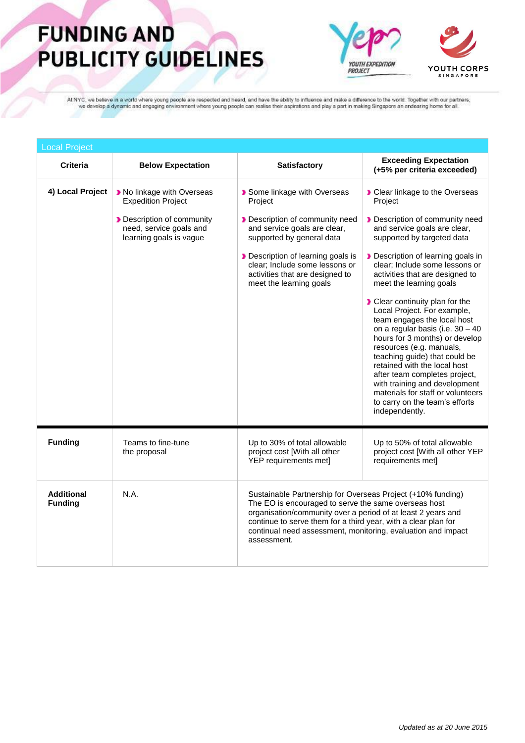

At NYC, we believe in a world where young people are respected and heard, and have the ability to influence and make a difference to the world. Together with our partners, we develop a dynamic and engaging environment wher

| <b>Local Project</b>                |                                                                                |                                                                                                                                                                                                                                                                                                                                      |                                                                                                                                                                                                                                                                                                                                                                                                                               |
|-------------------------------------|--------------------------------------------------------------------------------|--------------------------------------------------------------------------------------------------------------------------------------------------------------------------------------------------------------------------------------------------------------------------------------------------------------------------------------|-------------------------------------------------------------------------------------------------------------------------------------------------------------------------------------------------------------------------------------------------------------------------------------------------------------------------------------------------------------------------------------------------------------------------------|
| <b>Criteria</b>                     | <b>Below Expectation</b>                                                       | <b>Satisfactory</b>                                                                                                                                                                                                                                                                                                                  | <b>Exceeding Expectation</b><br>(+5% per criteria exceeded)                                                                                                                                                                                                                                                                                                                                                                   |
| 4) Local Project                    | I No linkage with Overseas<br><b>Expedition Project</b>                        | Some linkage with Overseas<br>Project                                                                                                                                                                                                                                                                                                | Clear linkage to the Overseas<br>Project                                                                                                                                                                                                                                                                                                                                                                                      |
|                                     | Description of community<br>need, service goals and<br>learning goals is vague | Description of community need<br>and service goals are clear,<br>supported by general data                                                                                                                                                                                                                                           | Description of community need<br>and service goals are clear,<br>supported by targeted data                                                                                                                                                                                                                                                                                                                                   |
|                                     |                                                                                | Description of learning goals is<br>clear; Include some lessons or<br>activities that are designed to<br>meet the learning goals                                                                                                                                                                                                     | Description of learning goals in<br>clear; Include some lessons or<br>activities that are designed to<br>meet the learning goals                                                                                                                                                                                                                                                                                              |
|                                     |                                                                                |                                                                                                                                                                                                                                                                                                                                      | > Clear continuity plan for the<br>Local Project. For example,<br>team engages the local host<br>on a regular basis (i.e. $30 - 40$<br>hours for 3 months) or develop<br>resources (e.g. manuals,<br>teaching guide) that could be<br>retained with the local host<br>after team completes project,<br>with training and development<br>materials for staff or volunteers<br>to carry on the team's efforts<br>independently. |
| <b>Funding</b>                      | Teams to fine-tune<br>the proposal                                             | Up to 30% of total allowable<br>project cost [With all other<br>YEP requirements met]                                                                                                                                                                                                                                                | Up to 50% of total allowable<br>project cost [With all other YEP<br>requirements met]                                                                                                                                                                                                                                                                                                                                         |
| <b>Additional</b><br><b>Funding</b> | N.A.                                                                           | Sustainable Partnership for Overseas Project (+10% funding)<br>The EO is encouraged to serve the same overseas host<br>organisation/community over a period of at least 2 years and<br>continue to serve them for a third year, with a clear plan for<br>continual need assessment, monitoring, evaluation and impact<br>assessment. |                                                                                                                                                                                                                                                                                                                                                                                                                               |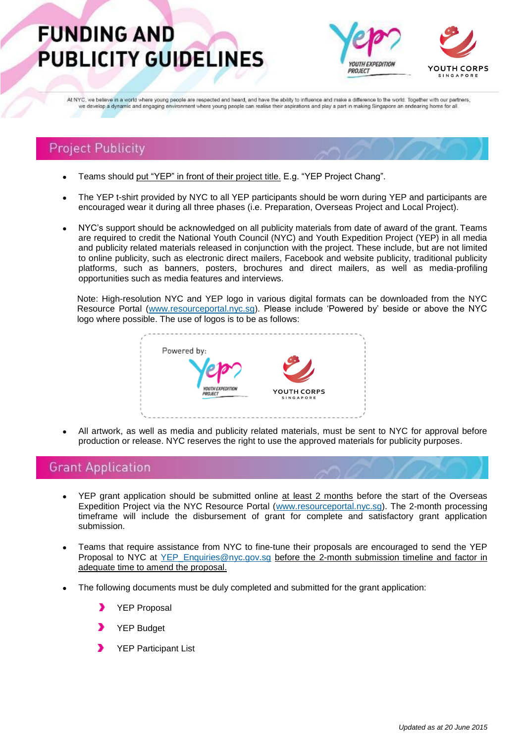

At NYC, we believe in a world where young people are respected and heard, and have the ability to influence and make a difference to the world. Together with our partners, we develop a dynamic and engaging environment where young people can realise their aspirations and play a part in making Singapore an endearing home for all

### **Project Publicity**

- Teams should put "YEP" in front of their project title. E.g. "YEP Project Chang".
- The YEP t-shirt provided by NYC to all YEP participants should be worn during YEP and participants are encouraged wear it during all three phases (i.e. Preparation, Overseas Project and Local Project).
- NYC's support should be acknowledged on all publicity materials from date of award of the grant. Teams are required to credit the National Youth Council (NYC) and Youth Expedition Project (YEP) in all media and publicity related materials released in conjunction with the project. These include, but are not limited to online publicity, such as electronic direct mailers, Facebook and website publicity, traditional publicity platforms, such as banners, posters, brochures and direct mailers, as well as media-profiling opportunities such as media features and interviews.

Note: High-resolution NYC and YEP logo in various digital formats can be downloaded from the NYC Resource Portal [\(www.resourceportal.nyc.sg\)](https://www.resourceportal.nyc.sg/nycp/nycp.portal). Please include 'Powered by' beside or above the NYC logo where possible. The use of logos is to be as follows:



 All artwork, as well as media and publicity related materials, must be sent to NYC for approval before production or release. NYC reserves the right to use the approved materials for publicity purposes.

### **Grant Application**

- YEP grant application should be submitted online at least 2 months before the start of the Overseas Expedition Project via the NYC Resource Portal [\(www.resourceportal.nyc.sg\)](https://www.resourceportal.nyc.sg/nycp/nycp.portal). The 2-month processing timeframe will include the disbursement of grant for complete and satisfactory grant application submission.
- Teams that require assistance from NYC to fine-tune their proposals are encouraged to send the YEP Proposal to NYC at [YEP\\_Enquiries@nyc.gov.sg](mailto:YEP_Enquiries%40nyc.gov.sg?subject=) before the 2-month submission timeline and factor in adequate time to amend the proposal.
- The following documents must be duly completed and submitted for the grant application:
	- YEP Proposal
	- YEP Budget
	- YEP Participant List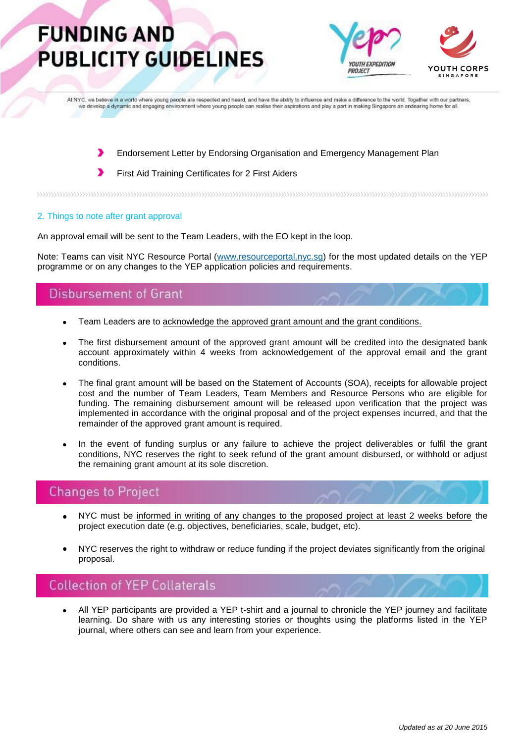

At NYC, we believe in a world where young people are respected and heard, and have the ability to influence and make a difference to the world. Together with our partners, we develop a dynamic and engaging environment where young people can realise their aspirations and play a part in making Singapore an endearing home for all

э Endorsement Letter by Endorsing Organisation and Emergency Management Plan

э First Aid Training Certificates for 2 First Aiders

### 2. Things to note after grant approval

An approval email will be sent to the Team Leaders, with the EO kept in the loop.

Note: Teams can visit NYC Resource Portal (www.resourceportal.nyc.sg) for the most updated details on the YEP programme or on any changes to the YEP application policies and requirements.

### Disbursement of Grant

- Team Leaders are to acknowledge the approved grant amount and the grant conditions.
- The first disbursement amount of the approved grant amount will be credited into the designated bank account approximately within 4 weeks from acknowledgement of the approval email and the grant conditions.
- The final grant amount will be based on the Statement of Accounts (SOA), receipts for allowable project cost and the number of Team Leaders, Team Members and Resource Persons who are eligible for funding. The remaining disbursement amount will be released upon verification that the project was implemented in accordance with the original proposal and of the project expenses incurred, and that the remainder of the approved grant amount is required.
- In the event of funding surplus or any failure to achieve the project deliverables or fulfil the grant conditions, NYC reserves the right to seek refund of the grant amount disbursed, or withhold or adjust the remaining grant amount at its sole discretion.

## **Changes to Project**

- NYC must be informed in writing of any changes to the proposed project at least 2 weeks before the project execution date (e.g. objectives, beneficiaries, scale, budget, etc).
- NYC reserves the right to withdraw or reduce funding if the project deviates significantly from the original proposal.

### **Collection of YEP Collaterals**

 All YEP participants are provided a YEP t-shirt and a journal to chronicle the YEP journey and facilitate learning. Do share with us any interesting stories or thoughts using the platforms listed in the YEP journal, where others can see and learn from your experience.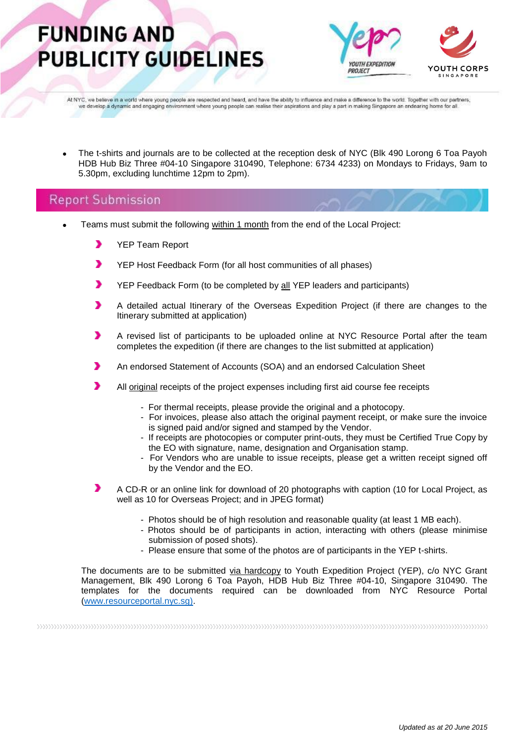

At NYC, we believe in a world where young people are respected and heard, and have the ability to influence and make a difference to the world. Together with our partners, we develop a dynamic and engaging environment where young people can realise their aspirations and play a part in making Singapore an endearing home for all

 The t-shirts and journals are to be collected at the reception desk of NYC (Blk 490 Lorong 6 Toa Payoh HDB Hub Biz Three #04-10 Singapore 310490, Telephone: 6734 4233) on Mondays to Fridays, 9am to 5.30pm, excluding lunchtime 12pm to 2pm).

### **Report Submission**

- Teams must submit the following within 1 month from the end of the Local Project:
	- ⋗ YEP Team Report
	- , YEP Host Feedback Form (for all host communities of all phases)
	- y YEP Feedback Form (to be completed by all YEP leaders and participants)
	- A detailed actual Itinerary of the Overseas Expedition Project (if there are changes to the Itinerary submitted at application)
	- э A revised list of participants to be uploaded online at NYC Resource Portal after the team completes the expedition (if there are changes to the list submitted at application)
	- An endorsed Statement of Accounts (SOA) and an endorsed Calculation Sheet
	- ъ All original receipts of the project expenses including first aid course fee receipts
		- For thermal receipts, please provide the original and a photocopy.
		- For invoices, please also attach the original payment receipt, or make sure the invoice is signed paid and/or signed and stamped by the Vendor.
		- If receipts are photocopies or computer print-outs, they must be Certified True Copy by the EO with signature, name, designation and Organisation stamp.
		- For Vendors who are unable to issue receipts, please get a written receipt signed off by the Vendor and the EO.

У. A CD-R or an online link for download of 20 photographs with caption (10 for Local Project, as well as 10 for Overseas Project; and in JPEG format)

- Photos should be of high resolution and reasonable quality (at least 1 MB each).
- Photos should be of participants in action, interacting with others (please minimise submission of posed shots).
- Please ensure that some of the photos are of participants in the YEP t-shirts.

The documents are to be submitted via hardcopy to Youth Expedition Project (YEP), c/o NYC Grant Management, Blk 490 Lorong 6 Toa Payoh, HDB Hub Biz Three #04-10, Singapore 310490. The templates for the documents required can be downloaded from NYC Resource Portal [\(www.resourceportal.nyc.sg\).](http://www.resourceportal.nyc.sg)/)